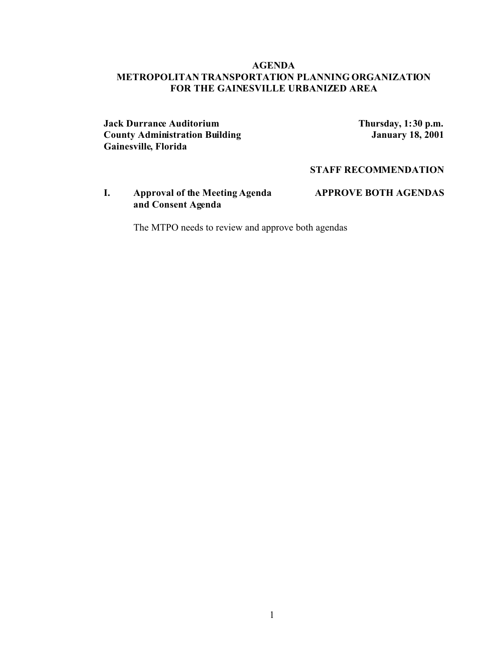#### **AGENDA METROPOLITAN TRANSPORTATION PLANNING ORGANIZATION FOR THE GAINESVILLE URBANIZED AREA**

**Jack Durrance Auditorium**<br> **County Administration Building**<br> **Thursday, 1:30 p.m.**<br> **January 18, 2001 County Administration Building Gainesville, Florida**

#### **STAFF RECOMMENDATION**

**I. Approval of the Meeting Agenda APPROVE BOTH AGENDAS and Consent Agenda**

The MTPO needs to review and approve both agendas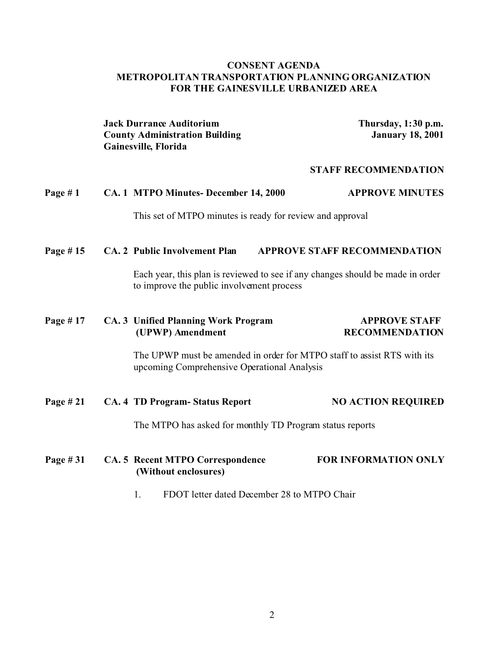#### **CONSENT AGENDA METROPOLITAN TRANSPORTATION PLANNING ORGANIZATION FOR THE GAINESVILLE URBANIZED AREA**

**Jack Durrance Auditorium Thursday, 1:30 p.m. County Administration Building January 18, 2001 Gainesville, Florida**

#### **STAFF RECOMMENDATION**

# **Page # 1 CA. 1 MTPO Minutes- December 14, 2000 APPROVE MINUTES** This set of MTPO minutes is ready for review and approval **Page # 15 CA. 2 Public Involvement Plan APPROVE STAFF RECOMMENDATION**

Each year, this plan is reviewed to see if any changes should be made in order to improve the public involvement process

# **Page # 17 CA. 3 Unified Planning Work Program APPROVE STAFF (UPWP) Amendment RECOMMENDATION**

The UPWP must be amended in order for MTPO staff to assist RTS with its upcoming Comprehensive Operational Analysis

### **Page # 21 CA. 4 TD Program- Status Report NO ACTION REQUIRED**

The MTPO has asked for monthly TD Program status reports

### **Page # 31 CA. 5 Recent MTPO Correspondence FOR INFORMATION ONLY (Without enclosures)**

1. FDOT letter dated December 28 to MTPO Chair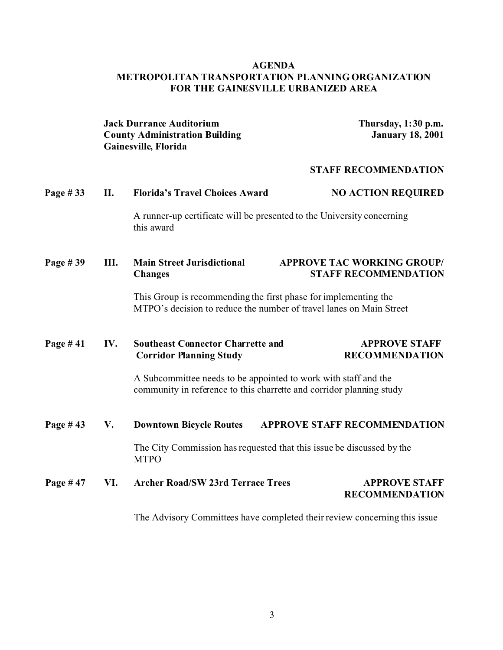# **AGENDA METROPOLITAN TRANSPORTATION PLANNING ORGANIZATION FOR THE GAINESVILLE URBANIZED AREA**

|          |      | <b>Jack Durrance Auditorium</b><br><b>County Administration Building</b><br>Gainesville, Florida                                       | Thursday, 1:30 p.m.<br><b>January 18, 2001</b>                                                                                          |  |  |  |
|----------|------|----------------------------------------------------------------------------------------------------------------------------------------|-----------------------------------------------------------------------------------------------------------------------------------------|--|--|--|
|          |      |                                                                                                                                        | <b>STAFF RECOMMENDATION</b>                                                                                                             |  |  |  |
| Page #33 | II.  | <b>Florida's Travel Choices Award</b>                                                                                                  | <b>NO ACTION REQUIRED</b>                                                                                                               |  |  |  |
|          |      | this award                                                                                                                             | A runner-up certificate will be presented to the University concerning                                                                  |  |  |  |
| Page #39 | III. | <b>Main Street Jurisdictional</b><br><b>Changes</b>                                                                                    | <b>APPROVE TAC WORKING GROUP/</b><br><b>STAFF RECOMMENDATION</b>                                                                        |  |  |  |
|          |      | This Group is recommending the first phase for implementing the<br>MTPO's decision to reduce the number of travel lanes on Main Street |                                                                                                                                         |  |  |  |
| Page #41 | IV.  | <b>Southeast Connector Charrette and</b><br><b>Corridor Planning Study</b>                                                             | <b>APPROVE STAFF</b><br><b>RECOMMENDATION</b>                                                                                           |  |  |  |
|          |      |                                                                                                                                        | A Subcommittee needs to be appointed to work with staff and the<br>community in reference to this charrette and corridor planning study |  |  |  |
| Page #43 | V.   | <b>Downtown Bicycle Routes</b>                                                                                                         | <b>APPROVE STAFF RECOMMENDATION</b>                                                                                                     |  |  |  |
|          |      | The City Commission has requested that this issue be discussed by the<br><b>MTPO</b>                                                   |                                                                                                                                         |  |  |  |
| Page #47 | VI.  | <b>Archer Road/SW 23rd Terrace Trees</b>                                                                                               | <b>APPROVE STAFF</b><br><b>RECOMMENDATION</b>                                                                                           |  |  |  |
|          |      | The Advisory Committees have completed their review concerning this issue                                                              |                                                                                                                                         |  |  |  |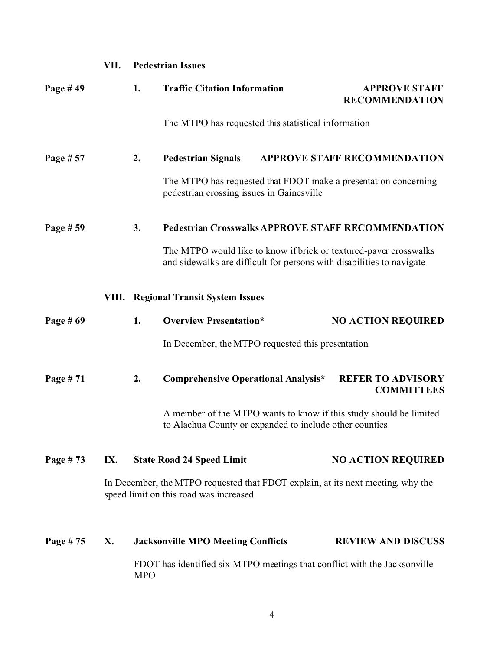|                                                     | VII. | <b>Pedestrian Issues</b> |                                                                                                                                                                                                         |                           |                                               |  |  |
|-----------------------------------------------------|------|--------------------------|---------------------------------------------------------------------------------------------------------------------------------------------------------------------------------------------------------|---------------------------|-----------------------------------------------|--|--|
| Page #49                                            |      | 1.                       | <b>Traffic Citation Information</b>                                                                                                                                                                     |                           | <b>APPROVE STAFF</b><br><b>RECOMMENDATION</b> |  |  |
|                                                     |      |                          | The MTPO has requested this statistical information                                                                                                                                                     |                           |                                               |  |  |
| Page # 57                                           |      | 2.                       | <b>Pedestrian Signals</b>                                                                                                                                                                               |                           | <b>APPROVE STAFF RECOMMENDATION</b>           |  |  |
|                                                     |      |                          | The MTPO has requested that FDOT make a presentation concerning<br>pedestrian crossing issues in Gainesville                                                                                            |                           |                                               |  |  |
| Page # 59                                           |      | 3.                       | <b>Pedestrian Crosswalks APPROVE STAFF RECOMMENDATION</b><br>The MTPO would like to know if brick or textured-paver crosswalks<br>and sidewalks are difficult for persons with disabilities to navigate |                           |                                               |  |  |
|                                                     |      |                          |                                                                                                                                                                                                         |                           |                                               |  |  |
|                                                     |      |                          | <b>VIII. Regional Transit System Issues</b>                                                                                                                                                             |                           |                                               |  |  |
| Page $# 69$                                         |      | 1.                       | <b>Overview Presentation*</b>                                                                                                                                                                           |                           | <b>NO ACTION REQUIRED</b>                     |  |  |
|                                                     |      |                          | In December, the MTPO requested this presentation                                                                                                                                                       |                           |                                               |  |  |
| Page #71                                            |      | 2.                       | <b>Comprehensive Operational Analysis*</b>                                                                                                                                                              |                           | <b>REFER TO ADVISORY</b><br><b>COMMITTEES</b> |  |  |
|                                                     |      |                          | A member of the MTPO wants to know if this study should be limited<br>to Alachua County or expanded to include other counties                                                                           |                           |                                               |  |  |
| Page #73<br>IX.<br><b>State Road 24 Speed Limit</b> |      |                          |                                                                                                                                                                                                         | <b>NO ACTION REQUIRED</b> |                                               |  |  |
|                                                     |      |                          | In December, the MTPO requested that FDOT explain, at its next meeting, why the<br>speed limit on this road was increased                                                                               |                           |                                               |  |  |
| Page #75                                            | X.   |                          | <b>Jacksonville MPO Meeting Conflicts</b>                                                                                                                                                               |                           | <b>REVIEW AND DISCUSS</b>                     |  |  |
|                                                     |      | <b>MPO</b>               | FDOT has identified six MTPO meetings that conflict with the Jacksonville                                                                                                                               |                           |                                               |  |  |